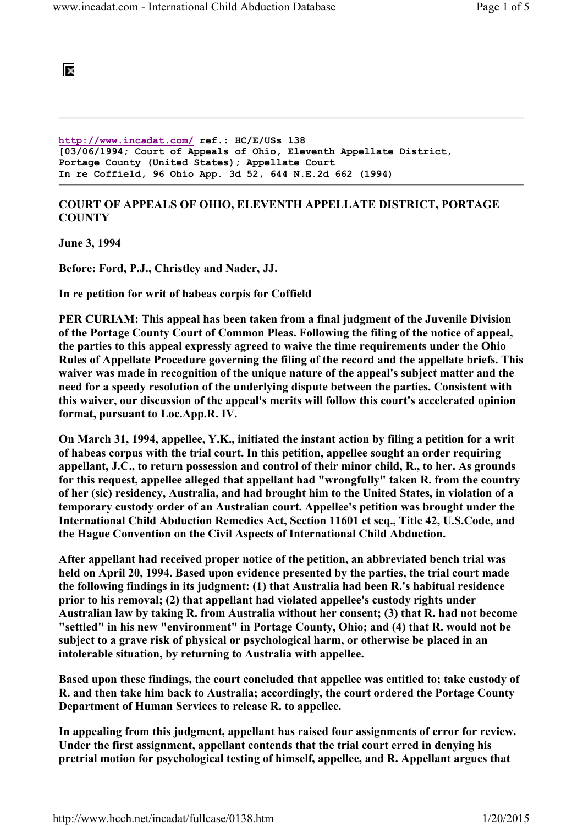

http://www.incadat.com/ ref.: HC/E/USs 138 [03/06/1994; Court of Appeals of Ohio, Eleventh Appellate District, Portage County (United States); Appellate Court In re Coffield, 96 Ohio App. 3d 52, 644 N.E.2d 662 (1994)

## COURT OF APPEALS OF OHIO, ELEVENTH APPELLATE DISTRICT, PORTAGE **COUNTY**

June 3, 1994

Before: Ford, P.J., Christley and Nader, JJ.

In re petition for writ of habeas corpis for Coffield

PER CURIAM: This appeal has been taken from a final judgment of the Juvenile Division of the Portage County Court of Common Pleas. Following the filing of the notice of appeal, the parties to this appeal expressly agreed to waive the time requirements under the Ohio Rules of Appellate Procedure governing the filing of the record and the appellate briefs. This waiver was made in recognition of the unique nature of the appeal's subject matter and the need for a speedy resolution of the underlying dispute between the parties. Consistent with this waiver, our discussion of the appeal's merits will follow this court's accelerated opinion format, pursuant to Loc.App.R. IV.

On March 31, 1994, appellee, Y.K., initiated the instant action by filing a petition for a writ of habeas corpus with the trial court. In this petition, appellee sought an order requiring appellant, J.C., to return possession and control of their minor child, R., to her. As grounds for this request, appellee alleged that appellant had "wrongfully" taken R. from the country of her (sic) residency, Australia, and had brought him to the United States, in violation of a temporary custody order of an Australian court. Appellee's petition was brought under the International Child Abduction Remedies Act, Section 11601 et seq., Title 42, U.S.Code, and the Hague Convention on the Civil Aspects of International Child Abduction.

After appellant had received proper notice of the petition, an abbreviated bench trial was held on April 20, 1994. Based upon evidence presented by the parties, the trial court made the following findings in its judgment: (1) that Australia had been R.'s habitual residence prior to his removal; (2) that appellant had violated appellee's custody rights under Australian law by taking R. from Australia without her consent; (3) that R. had not become "settled" in his new "environment" in Portage County, Ohio; and (4) that R. would not be subject to a grave risk of physical or psychological harm, or otherwise be placed in an intolerable situation, by returning to Australia with appellee.

Based upon these findings, the court concluded that appellee was entitled to; take custody of R. and then take him back to Australia; accordingly, the court ordered the Portage County Department of Human Services to release R. to appellee.

In appealing from this judgment, appellant has raised four assignments of error for review. Under the first assignment, appellant contends that the trial court erred in denying his pretrial motion for psychological testing of himself, appellee, and R. Appellant argues that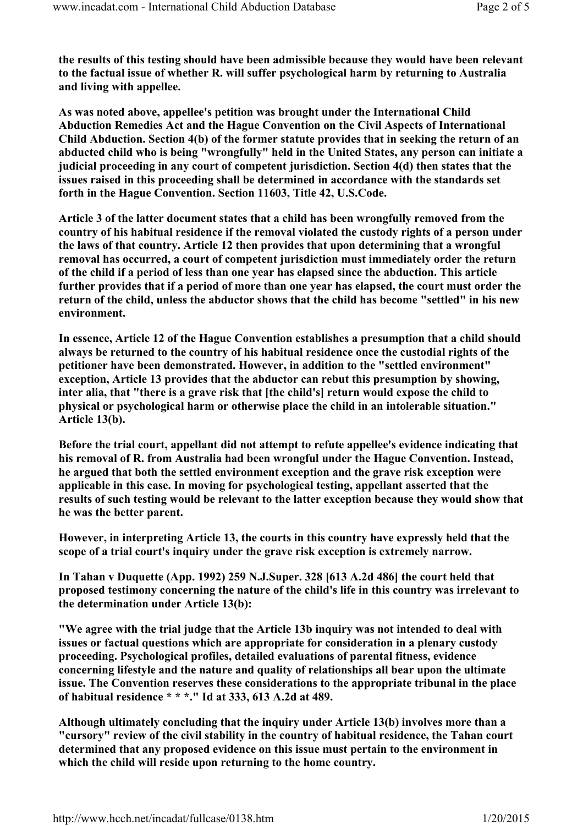the results of this testing should have been admissible because they would have been relevant to the factual issue of whether R. will suffer psychological harm by returning to Australia and living with appellee.

As was noted above, appellee's petition was brought under the International Child Abduction Remedies Act and the Hague Convention on the Civil Aspects of International Child Abduction. Section 4(b) of the former statute provides that in seeking the return of an abducted child who is being "wrongfully" held in the United States, any person can initiate a judicial proceeding in any court of competent jurisdiction. Section 4(d) then states that the issues raised in this proceeding shall be determined in accordance with the standards set forth in the Hague Convention. Section 11603, Title 42, U.S.Code.

Article 3 of the latter document states that a child has been wrongfully removed from the country of his habitual residence if the removal violated the custody rights of a person under the laws of that country. Article 12 then provides that upon determining that a wrongful removal has occurred, a court of competent jurisdiction must immediately order the return of the child if a period of less than one year has elapsed since the abduction. This article further provides that if a period of more than one year has elapsed, the court must order the return of the child, unless the abductor shows that the child has become "settled" in his new environment.

In essence, Article 12 of the Hague Convention establishes a presumption that a child should always be returned to the country of his habitual residence once the custodial rights of the petitioner have been demonstrated. However, in addition to the "settled environment" exception, Article 13 provides that the abductor can rebut this presumption by showing, inter alia, that "there is a grave risk that [the child's] return would expose the child to physical or psychological harm or otherwise place the child in an intolerable situation." Article 13(b).

Before the trial court, appellant did not attempt to refute appellee's evidence indicating that his removal of R. from Australia had been wrongful under the Hague Convention. Instead, he argued that both the settled environment exception and the grave risk exception were applicable in this case. In moving for psychological testing, appellant asserted that the results of such testing would be relevant to the latter exception because they would show that he was the better parent.

However, in interpreting Article 13, the courts in this country have expressly held that the scope of a trial court's inquiry under the grave risk exception is extremely narrow.

In Tahan v Duquette (App. 1992) 259 N.J.Super. 328 [613 A.2d 486] the court held that proposed testimony concerning the nature of the child's life in this country was irrelevant to the determination under Article 13(b):

"We agree with the trial judge that the Article 13b inquiry was not intended to deal with issues or factual questions which are appropriate for consideration in a plenary custody proceeding. Psychological profiles, detailed evaluations of parental fitness, evidence concerning lifestyle and the nature and quality of relationships all bear upon the ultimate issue. The Convention reserves these considerations to the appropriate tribunal in the place of habitual residence \* \* \*." Id at 333, 613 A.2d at 489.

Although ultimately concluding that the inquiry under Article 13(b) involves more than a "cursory" review of the civil stability in the country of habitual residence, the Tahan court determined that any proposed evidence on this issue must pertain to the environment in which the child will reside upon returning to the home country.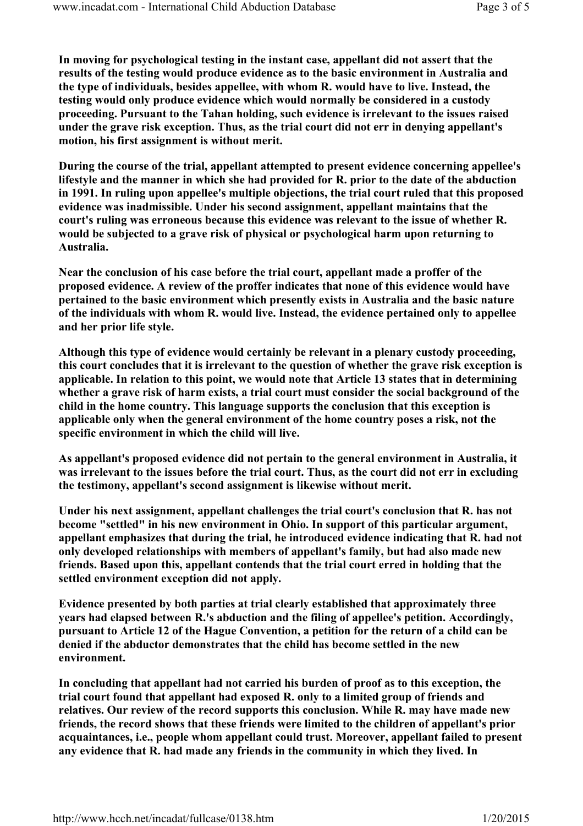In moving for psychological testing in the instant case, appellant did not assert that the results of the testing would produce evidence as to the basic environment in Australia and the type of individuals, besides appellee, with whom R. would have to live. Instead, the testing would only produce evidence which would normally be considered in a custody proceeding. Pursuant to the Tahan holding, such evidence is irrelevant to the issues raised under the grave risk exception. Thus, as the trial court did not err in denying appellant's motion, his first assignment is without merit.

During the course of the trial, appellant attempted to present evidence concerning appellee's lifestyle and the manner in which she had provided for R. prior to the date of the abduction in 1991. In ruling upon appellee's multiple objections, the trial court ruled that this proposed evidence was inadmissible. Under his second assignment, appellant maintains that the court's ruling was erroneous because this evidence was relevant to the issue of whether R. would be subjected to a grave risk of physical or psychological harm upon returning to Australia.

Near the conclusion of his case before the trial court, appellant made a proffer of the proposed evidence. A review of the proffer indicates that none of this evidence would have pertained to the basic environment which presently exists in Australia and the basic nature of the individuals with whom R. would live. Instead, the evidence pertained only to appellee and her prior life style.

Although this type of evidence would certainly be relevant in a plenary custody proceeding, this court concludes that it is irrelevant to the question of whether the grave risk exception is applicable. In relation to this point, we would note that Article 13 states that in determining whether a grave risk of harm exists, a trial court must consider the social background of the child in the home country. This language supports the conclusion that this exception is applicable only when the general environment of the home country poses a risk, not the specific environment in which the child will live.

As appellant's proposed evidence did not pertain to the general environment in Australia, it was irrelevant to the issues before the trial court. Thus, as the court did not err in excluding the testimony, appellant's second assignment is likewise without merit.

Under his next assignment, appellant challenges the trial court's conclusion that R. has not become "settled" in his new environment in Ohio. In support of this particular argument, appellant emphasizes that during the trial, he introduced evidence indicating that R. had not only developed relationships with members of appellant's family, but had also made new friends. Based upon this, appellant contends that the trial court erred in holding that the settled environment exception did not apply.

Evidence presented by both parties at trial clearly established that approximately three years had elapsed between R.'s abduction and the filing of appellee's petition. Accordingly, pursuant to Article 12 of the Hague Convention, a petition for the return of a child can be denied if the abductor demonstrates that the child has become settled in the new environment.

In concluding that appellant had not carried his burden of proof as to this exception, the trial court found that appellant had exposed R. only to a limited group of friends and relatives. Our review of the record supports this conclusion. While R. may have made new friends, the record shows that these friends were limited to the children of appellant's prior acquaintances, i.e., people whom appellant could trust. Moreover, appellant failed to present any evidence that R. had made any friends in the community in which they lived. In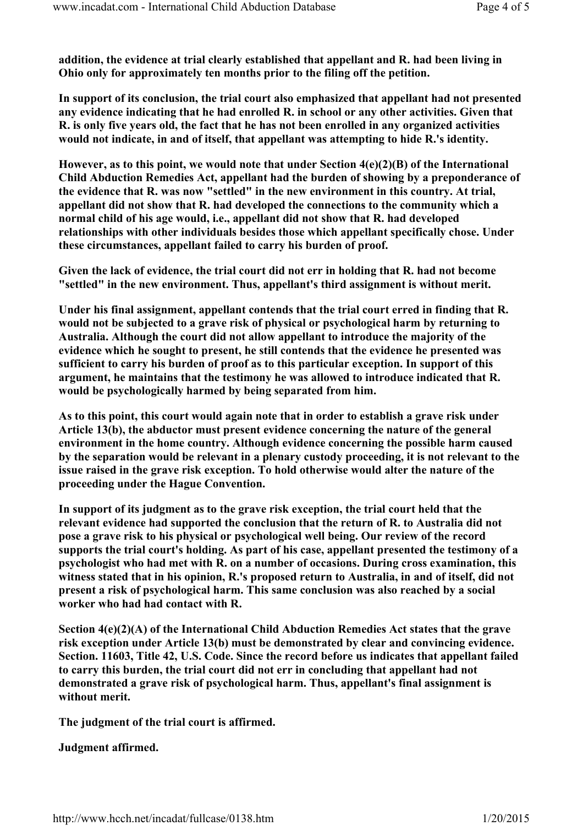addition, the evidence at trial clearly established that appellant and R. had been living in Ohio only for approximately ten months prior to the filing off the petition.

In support of its conclusion, the trial court also emphasized that appellant had not presented any evidence indicating that he had enrolled R. in school or any other activities. Given that R. is only five years old, the fact that he has not been enrolled in any organized activities would not indicate, in and of itself, that appellant was attempting to hide R.'s identity.

However, as to this point, we would note that under Section 4(e)(2)(B) of the International Child Abduction Remedies Act, appellant had the burden of showing by a preponderance of the evidence that R. was now "settled" in the new environment in this country. At trial, appellant did not show that R. had developed the connections to the community which a normal child of his age would, i.e., appellant did not show that R. had developed relationships with other individuals besides those which appellant specifically chose. Under these circumstances, appellant failed to carry his burden of proof.

Given the lack of evidence, the trial court did not err in holding that R. had not become "settled" in the new environment. Thus, appellant's third assignment is without merit.

Under his final assignment, appellant contends that the trial court erred in finding that R. would not be subjected to a grave risk of physical or psychological harm by returning to Australia. Although the court did not allow appellant to introduce the majority of the evidence which he sought to present, he still contends that the evidence he presented was sufficient to carry his burden of proof as to this particular exception. In support of this argument, he maintains that the testimony he was allowed to introduce indicated that R. would be psychologically harmed by being separated from him.

As to this point, this court would again note that in order to establish a grave risk under Article 13(b), the abductor must present evidence concerning the nature of the general environment in the home country. Although evidence concerning the possible harm caused by the separation would be relevant in a plenary custody proceeding, it is not relevant to the issue raised in the grave risk exception. To hold otherwise would alter the nature of the proceeding under the Hague Convention.

In support of its judgment as to the grave risk exception, the trial court held that the relevant evidence had supported the conclusion that the return of R. to Australia did not pose a grave risk to his physical or psychological well being. Our review of the record supports the trial court's holding. As part of his case, appellant presented the testimony of a psychologist who had met with R. on a number of occasions. During cross examination, this witness stated that in his opinion, R.'s proposed return to Australia, in and of itself, did not present a risk of psychological harm. This same conclusion was also reached by a social worker who had had contact with R.

Section 4(e)(2)(A) of the International Child Abduction Remedies Act states that the grave risk exception under Article 13(b) must be demonstrated by clear and convincing evidence. Section. 11603, Title 42, U.S. Code. Since the record before us indicates that appellant failed to carry this burden, the trial court did not err in concluding that appellant had not demonstrated a grave risk of psychological harm. Thus, appellant's final assignment is without merit.

The judgment of the trial court is affirmed.

Judgment affirmed.